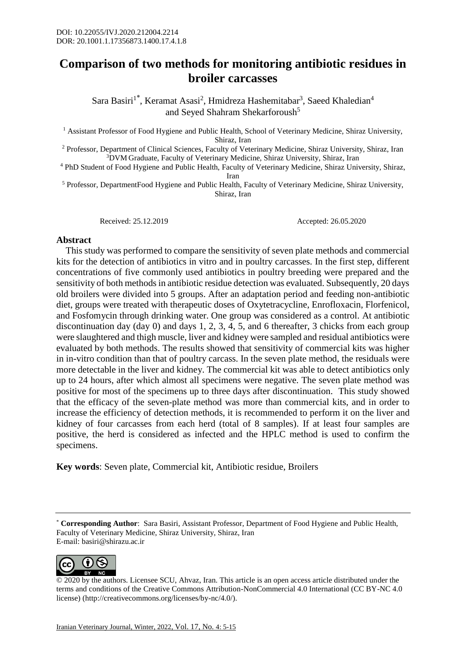## **Comparison of two methods for monitoring antibiotic residues in broiler carcasses**

Sara Basiri<sup>1\*</sup>, Keramat Asasi<sup>2</sup>, Hmidreza Hashemitabar<sup>3</sup>, Saeed Khaledian<sup>4</sup> and Seyed Shahram Shekarforoush<sup>5</sup>

<sup>1</sup> Assistant Professor of Food Hygiene and Public Health, School of Veterinary Medicine, Shiraz University, Shiraz, Iran

<sup>2</sup> Professor, Department of Clinical Sciences, Faculty of Veterinary Medicine, Shiraz University, Shiraz, Iran <sup>3</sup>DVM Graduate, Faculty of Veterinary Medicine, Shiraz University, Shiraz, Iran

<sup>4</sup> PhD Student of Food Hygiene and Public Health, Faculty of Veterinary Medicine, Shiraz University, Shiraz, Iran

<sup>5</sup> Professor, DepartmentFood Hygiene and Public Health, Faculty of Veterinary Medicine, Shiraz University, Shiraz, Iran

Received: 25.12.2019 Accepted: 26.05.2020

## **Abstract**

 This study was performed to compare the sensitivity of seven plate methods and commercial kits for the detection of antibiotics in vitro and in poultry carcasses. In the first step, different concentrations of five commonly used antibiotics in poultry breeding were prepared and the sensitivity of both methods in antibiotic residue detection was evaluated. Subsequently, 20 days old broilers were divided into 5 groups. After an adaptation period and feeding non-antibiotic diet, groups were treated with therapeutic doses of Oxytetracycline, Enrofloxacin, Florfenicol, and Fosfomycin through drinking water. One group was considered as a control. At antibiotic discontinuation day (day 0) and days 1, 2, 3, 4, 5, and 6 thereafter, 3 chicks from each group were slaughtered and thigh muscle, liver and kidney were sampled and residual antibiotics were evaluated by both methods. The results showed that sensitivity of commercial kits was higher in in-vitro condition than that of poultry carcass. In the seven plate method, the residuals were more detectable in the liver and kidney. The commercial kit was able to detect antibiotics only up to 24 hours, after which almost all specimens were negative. The seven plate method was positive for most of the specimens up to three days after discontinuation. This study showed that the efficacy of the seven-plate method was more than commercial kits, and in order to increase the efficiency of detection methods, it is recommended to perform it on the liver and kidney of four carcasses from each herd (total of 8 samples). If at least four samples are positive, the herd is considered as infected and the HPLC method is used to confirm the specimens.

**Key words**: Seven plate, Commercial kit, Antibiotic residue, Broilers

<sup>\*</sup> **Corresponding Author**: Sara Basiri, Assistant Professor, Department of Food Hygiene and Public Health, Faculty of Veterinary Medicine, Shiraz University, Shiraz, Iran E-mail: basiri@shirazu.ac.ir



© 2020 by the authors. Licensee SCU, Ahvaz, Iran. This article is an open access article distributed under the terms and conditions of the Creative Commons Attribution-NonCommercial 4.0 International (CC BY-NC 4.0 license) (http://creativecommons.org/licenses/by-nc/4.0/).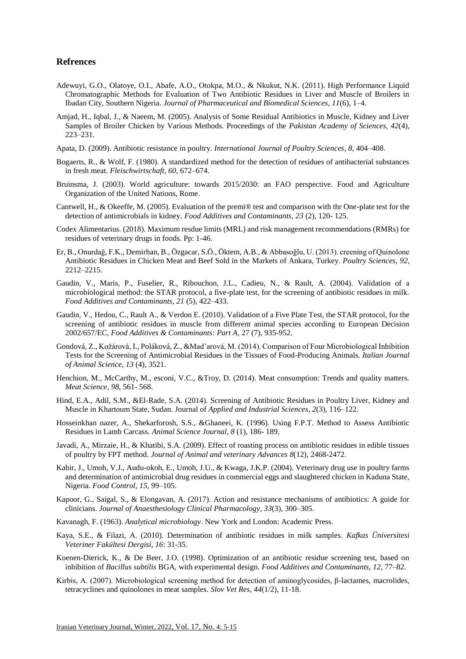## **Refrences**

- Adewuyi, G.O., Olatoye, O.I., Abafe, A.O., Otokpa, M.O., & Nkukut, N.K. (2011). High Performance Liquid Chromatographic Methods for Evaluation of Two Antibiotic Residues in Liver and Muscle of Broilers in Ibadan City, Southern Nigeria. *Journal of Pharmaceutical and Biomedical Sciences*, *11*(6), 1–4.
- Amjad, H., Iqbal, J., & Naeem, M. (2005). Analysis of Some Residual Antibiotics in Muscle, Kidney and Liver Samples of Broiler Chicken by Various Methods. Proceedings of the *Pakistan Academy of Sciences, 42*(4), 223–231.
- Apata, D. (2009). Antibiotic resistance in poultry. *International Journal of Poultry Sciences*, *8*, 404–408.
- Bogaerts, R., & Wolf, F. (1980). A standardized method for the detection of residues of antibacterial substances in fresh meat. *Fleischwirtschaft*, *60*, 672–674.
- Bruinsma, J. (2003). World agriculture: towards 2015/2030: an FAO perspective. Food and Agriculture Organization of the United Nations, Rome.
- Cantwell, H., & Okeeffe, M. (2005). Evaluation of the premi® test and comparison with thr One-plate test for the detection of antimicrobials in kidney. *Food Additives and Contaminants*, *23* (2), 120- 125.
- Codex Alimentarius. (2018). Maximum resdue limits (MRL) and risk management recommendations (RMRs) for residues of veterinary drugs in foods. Pp: 1-46.
- Er, B., Onurdağ, F.K., Demirhan, B., Özgacar, S.Ö., Öktem, A.B., & Abbasoğlu, U. (2013). creening of Quinolone Antibiotic Residues in Chicken Meat and Beef Sold in the Markets of Ankara, Turkey. *Poultry Sciences*, *92*, 2212–2215.
- Gaudin, V., Maris, P., Fuselier, R., Ribouchon, J.L., Cadieu, N., & Rault, A. (2004). Validation of a microbiological method: the STAR protocol, a five-plate test, for the screening of antibiotic residues in milk. *Food Additives and Contaminants*, *21* (5), 422–433.
- Gaudin, V., Hedou, C., Rault A., & Verdon E. (2010). Validation of a Five Plate Test, the STAR protocol, for the screening of antibiotic residues in muscle from different animal species according to European Decision 2002/657/EC, *Food Additives & Contaminants: Part A,* 27 (7), 935-952.
- Gondová, Z., Kožárová, I., Poláková, Z., &Mad'arová, M. (2014). Comparison of Four Microbiological Inhibition Tests for the Screening of Antimicrobial Residues in the Tissues of Food-Producing Animals. *Italian Journal of Animal Science*, *13* (4), 3521.
- Henchion, M., McCarthy, M., esconi, V.C., &Troy, D. (2014). Meat consumption: Trends and quality matters. *Meat Science*, *98*, 561- 568.
- Hind, E.A., Adil, S.M., &El-Rade, S.A. (2014). Screening of Antibiotic Residues in Poultry Liver, Kidney and Muscle in Khartoum State, Sudan. Journal of *Applied and Industrial Sciences*, *2*(3), 116–122.
- Hosseinkhan nazer, A., Shekarforosh, S.S., &Ghaneei, K. (1996). Using F.P.T. Method to Assess Antibiotic Residues in Lamb Carcass. *Animal Science Journal*, *8* (1), 186- 189.
- Javadi, A., Mirzaie, H., & Khatibi, S.A. (2009). Effect of roasting process on antibiotic residues in edible tissues of poultry by FPT method. *Journal of Animal and veterinary Advances 8*(12), 2468-2472.
- Kabir, J., Umoh, V.J., Audu-okoh, E., Umoh, J.U., & Kwaga, J.K.P. (2004). Veterinary drug use in poultry farms and determination of antimicrobial drug residues in commercial eggs and slaughtered chicken in Kaduna State, Nigeria. *Food Control*, *15*, 99–105.
- [Kapoor,](https://www.ncbi.nlm.nih.gov/pubmed/?term=Kapoor%20G%5BAuthor%5D&cauthor=true&cauthor_uid=29109626) G., [Saigal,](https://www.ncbi.nlm.nih.gov/pubmed/?term=Saigal%20S%5BAuthor%5D&cauthor=true&cauthor_uid=29109626) S., & [Elongavan,](https://www.ncbi.nlm.nih.gov/pubmed/?term=Elongavan%20A%5BAuthor%5D&cauthor=true&cauthor_uid=29109626) A. (2017). Action and resistance mechanisms of antibiotics: A guide for clinicians. *Journal of [Anaesthesiology](https://www.ncbi.nlm.nih.gov/pmc/articles/PMC5672523/) Clinical Pharmacology*, *33*(3), 300–305.
- Kavanagh, F. (1963). *Analytical microbiology*. New York and London: Academic Press.
- Kaya, S.E., & Filazi, A. (2010). Determination of antibiotic residues in milk samples. *Kafkas Üniversitesi Veteriner Fakültesi Dergisi*, *16*: 31-35.
- Koenen-Dierick, K., & De Beer, J.O. (1998). Optimization of an antibiotic residue screening test, based on inhibition of *Bacillus subtilis* BGA, with experimental design. *Food Additives and Contaminants*, *12*, 77–82.
- Kirbis, A. (2007). Microbiological screening method for detection of aminoglycosides, β-lactames, macrolides, tetracyclines and quinolones in meat samples. *Slov Vet Res*, *44*(1/2), 11-18.